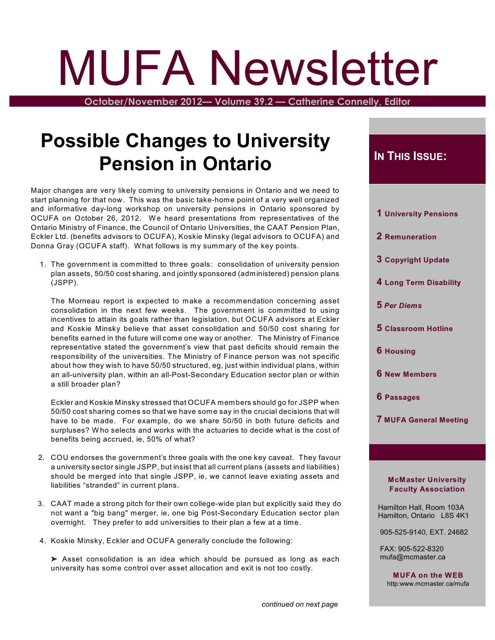# MUFA Newsletter

**October/November 2012— Volume 39.2 — Catherine Connelly, Editor**

## **Possible Changes to University Pension in Ontario**

Major changes are very likely coming to university pensions in Ontario and we need to start planning for that now. This was the basic take-home point of a very well organized and informative day-long workshop on university pensions in Ontario sponsored by OCUFA on October 26, 2012. We heard presentations from representatives of the Ontario Ministry of Finance, the Council of Ontario Universities, the CAAT Pension Plan, Eckler Ltd. (benefits advisors to OCUFA), Koskie Minsky (legal advisors to OCUFA) and Donna Gray (OCUFA staff). W hat follows is my summary of the key points.

1. The government is committed to three goals: consolidation of university pension plan assets, 50/50 cost sharing, and jointly sponsored (administered) pension plans (JSPP).

The Morneau report is expected to make a recommendation concerning asset consolidation in the next few weeks. The government is committed to using incentives to attain its goals rather than legislation, but OCUFA advisors at Eckler and Koskie Minsky believe that asset consolidation and 50/50 cost sharing for benefits earned in the future will come one way or another. The Ministry of Finance representative stated the government's view that past deficits should remain the responsibility of the universities. The Ministry of Finance person was not specific about how they wish to have 50/50 structured, eg, just within individual plans, within an all-university plan, within an all-Post-Secondary Education sector plan or within a still broader plan?

Eckler and Koskie Minsky stressed that OCUFA members should go for JSPP when 50/50 cost sharing comes so that we have some say in the crucial decisions that will have to be made. For example, do we share 50/50 in both future deficits and surpluses? W ho selects and works with the actuaries to decide what is the cost of benefits being accrued, ie, 50% of what?

- 2. COU endorses the government's three goals with the one key caveat. They favour a university sector single JSPP, but insist that all current plans (assets and liabilities) should be merged into that single JSPP, ie, we cannot leave existing assets and liabilities "stranded" in current plans.
- 3. CAAT made a strong pitch for their own college-wide plan but explicitly said they do not want a "big bang" merger, ie, one big Post-Secondary Education sector plan overnight. They prefer to add universities to their plan a few at a time.
- 4. Koskie Minsky, Eckler and OCUFA generally conclude the following:

▶ Asset consolidation is an idea which should be pursued as long as each university has some control over asset allocation and exit is not too costly.

#### $I$ **N THIS** *ISSUE***:**

| 1 University Pensions |  |
|-----------------------|--|
|                       |  |

- **2 Remuneration**
- **3 Copyright Update**
- **4 Long Term Disability**
- **5** *Per Diems*
- **5 Classroom Hotline**
- **6 Housing**
- **6 New Members**
- **6 Passages**
- **7 MUFA General Meeting**

#### **McMaster University Faculty Association**

 Hamilton Hall, Room 103A Hamilton, Ontario L8S 4K1

905-525-9140, EXT. 24682

 FAX: 905-522-8320 mufa@mcmaster.ca

**MUFA on the WEB** http:www.mcmaster.ca/mufa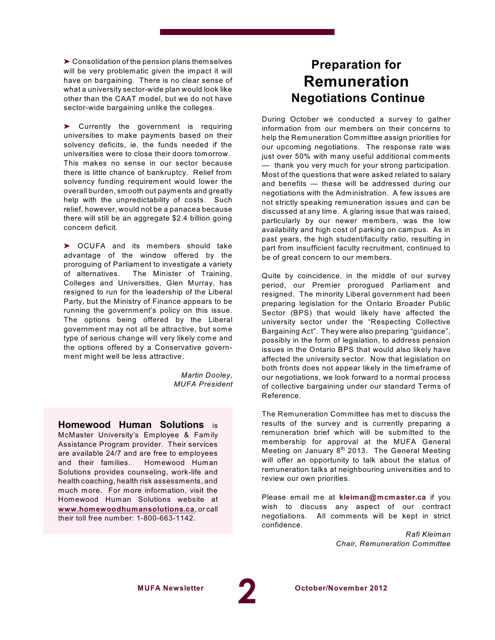$\blacktriangleright$  Consolidation of the pension plans themselves will be very problematic given the impact it will have on bargaining. There is no clear sense of what a university sector-wide plan would look like other than the CAAT model, but we do not have sector-wide bargaining unlike the colleges.

> Currently the government is requiring universities to make payments based on their solvency deficits, ie, the funds needed if the universities were to close their doors tomorrow. This makes no sense in our sector because there is little chance of bankruptcy. Relief from solvency funding requirement would lower the overall burden, smooth out payments and greatly help with the unpredictability of costs. Such relief, however, would not be a panacea because there will still be an aggregate \$2.4 billion going concern deficit.

' OCUFA and its members should take advantage of the window offered by the proroguing of Parliament to investigate a variety of alternatives. The Minister of Training, Colleges and Universities, Glen Murray, has resigned to run for the leadership of the Liberal Party, but the Ministry of Finance appears to be running the government's policy on this issue. The options being offered by the Liberal government may not all be attractive, but some type of serious change will very likely come and the options offered by a Conservative government might well be less attractive.

> *Martin Dooley, MUFA President*

**Homewood Human Solutions** is McMaster University's Employee & Family Assistance Program provider. Their services are available 24/7 and are free to employees and their families. Homewood Human Solutions provides counseling, work-life and health coaching, health risk assessments, and much more. For more information, visit the Homewood Human Solutions website at **[www.homewoodhumansolutions.ca](http://www.homewoodhumansolutions.ca)**, or call their toll free number: 1-800-663-1142.

## **Preparation for Remuneration Negotiations Continue**

During October we conducted a survey to gather information from our members on their concerns to help the Remuneration Committee assign priorities for our upcoming negotiations. The response rate was just over 50% with many useful additional comments — thank you very much for your strong participation. Most of the questions that were asked related to salary and benefits — these will be addressed during our negotiations with the Administration. A few issues are not strictly speaking remuneration issues and can be discussed at any time. A glaring issue that was raised, particularly by our newer members, was the low availability and high cost of parking on campus. As in past years, the high student/faculty ratio, resulting in part from insufficient faculty recruitment, continued to be of great concern to our members.

Quite by coincidence, in the middle of our survey period, our Premier prorogued Parliament and resigned. The minority Liberal government had been preparing legislation for the Ontario Broader Public Sector (BPS) that would likely have affected the university sector under the "Respecting Collective Bargaining Act". They were also preparing "guidance", possibly in the form of legislation, to address pension issues in the Ontario BPS that would also likely have affected the university sector. Now that legislation on both fronts does not appear likely in the timeframe of our negotiations, we look forward to a normal process of collective bargaining under our standard Terms of Reference.

The Remuneration Committee has met to discuss the results of the survey and is currently preparing a remuneration brief which will be submitted to the membership for approval at the MUFA General Meeting on January  $8^\text{th}$  2013. The General Meeting will offer an opportunity to talk about the status of remuneration talks at neighbouring universities and to review our own priorities.

Please email me at **kleiman@mcmaster.ca** if you wish to discuss any aspect of our contract negotiations. All comments will be kept in strict confidence.

> *Rafi Kleiman Chair, Remuneration Committee*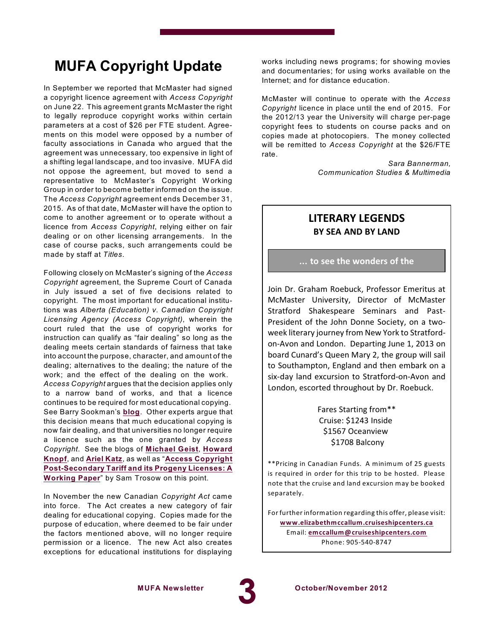## **MUFA Copyright Update**

In September we reported that McMaster had signed a copyright licence agreement with *Access Copyright* on June 22. This agreement grants McMaster the right to legally reproduce copyright works within certain parameters at a cost of \$26 per FTE student. Agreements on this model were opposed by a number of faculty associations in Canada who argued that the agreement was unnecessary, too expensive in light of a shifting legal landscape, and too invasive. MUFA did not oppose the agreement, but moved to send a representative to McMaster's Copyright Working Group in order to become better informed on the issue. The *Access Copyright* agreement ends December 31, 2015. As of that date, McMaster will have the option to come to another agreement or to operate without a licence from *Access Copyright*, relying either on fair dealing or on other licensing arrangements. In the case of course packs, such arrangements could be made by staff at *Titles*.

Following closely on McMaster's signing of the *Access Copyright* agreement, the Supreme Court of Canada in July issued a set of five decisions related to copyright. The most important for educational institutions was *Alberta (Education) v. Canadian Copyright Licensing Agency (Access Copyright)*, wherein the court ruled that the use of copyright works for instruction can qualify as "fair dealing" so long as the dealing meets certain standards of fairness that take into account the purpose, character, and amount of the dealing; alternatives to the dealing; the nature of the work; and the effect of the dealing on the work. *Access Copyright* argues that the decision applies only to a narrow band of works, and that a licence continues to be required for most educational copying. See Barry Sookman's **[blog](http://www.barrysookman.com/tag/access-copyright/)**. Other experts argue that this decision means that much educational copying is now fair dealing, and that universities no longer require a licence such as the one granted by *Access Copyright*. See the blogs of **[Michael](http://www.michaelgeist.ca/content/view/6593/125/) Geist**, **[Howard](http://excesscopyright.blogspot.ca/2012/06/faq-re-acdeal-q-re-pusillanimous.html) [Knopf](http://excesscopyright.blogspot.ca/2012/06/faq-re-acdeal-q-re-pusillanimous.html)**, and **[Ariel](http://arielkatz.org/archives/1983?utm_source=rss&utm_medium=rss&utm_campaign=eviscerated-or-not-more-on-the-access-copyright-question) Katz**, as well as "**Access [Copyright](http://ir.lib.uwo.ca/fimspub/24/) [Post-Secondary](http://ir.lib.uwo.ca/fimspub/24/) Tariff and its Progeny Licenses: A [Working](http://ir.lib.uwo.ca/fimspub/24/) Paper**" by Sam Trosow on this point.

In November the new Canadian *Copyright Act* came into force. The Act creates a new category of fair dealing for educational copying. Copies made for the purpose of education, where deemed to be fair under the factors mentioned above, will no longer require permission or a licence. The new Act also creates exceptions for educational institutions for displaying

works including news programs; for showing movies and documentaries; for using works available on the Internet; and for distance education.

McMaster will continue to operate with the *Access Copyright* licence in place until the end of 2015. For the 2012/13 year the University will charge per-page copyright fees to students on course packs and on copies made at photocopiers. The money collected will be remitted to *Access Copyright* at the \$26/FTE rate.

> *Sara Bannerman, Communication Studies & Multimedia*

#### **LITERARY LEGENDS BY SEA AND BY LAND**

#### **... to see the wonders of the**

Join Dr. Graham Roebuck, Professor Emeritus at McMaster University, Director of McMaster Stratford Shakespeare Seminars and Past-President of the John Donne Society, on a twoweek literary journey from New York to Stratfordon-Avon and London. Departing June 1, 2013 on board Cunard's Queen Mary 2, the group will sail to Southampton, England and then embark on a six-day land excursion to Stratford-on-Avon and London, escorted throughout by Dr. Roebuck.

> Fares Starting from\*\* Cruise: \$1243 Inside \$1567 Oceanview \$1708 Balcony

\*\*Pricing in Canadian Funds. A minimum of 25 guests is required in order for this trip to be hosted. Please note that the cruise and land excursion may be booked separately.

For further information regarding this offer, please visit: **[www.elizabethmccallum.cruiseshipcenters.ca](http://www.elizabethmccallum.cruiseshipcenters.ca)** Email: **[emccallum@cruiseshipcenters.com](mailto:emccallum@cruiseshipcenters.com)** Phone: 905-540-8747

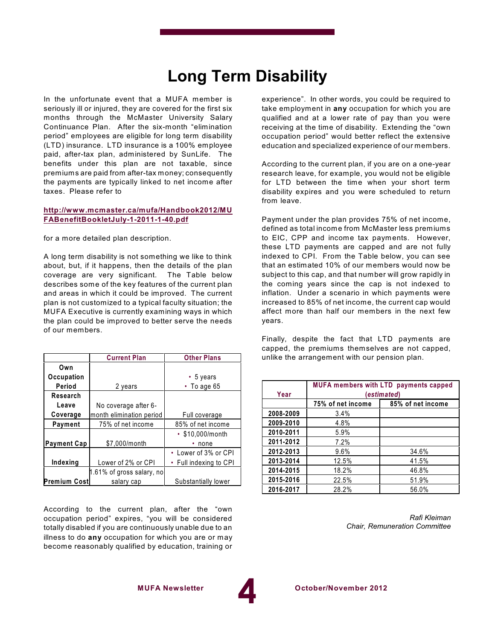## **Long Term Disability**

In the unfortunate event that a MUFA member is seriously ill or injured, they are covered for the first six months through the McMaster University Salary Continuance Plan. After the six-month "elimination period" employees are eligible for long term disability (LTD) insurance. LTD insurance is a 100% employee paid, after-tax plan, administered by SunLife. The benefits under this plan are not taxable, since premiums are paid from after-tax money; consequently the payments are typically linked to net income after taxes. Please refer to

#### **[http://www.mcmaster.ca/mufa/Handbook2012/MU](http://www.mcmaster.ca/mufa/Handbook2012/MUFABenefitBookletJuly-1-2011-1-40.pdf) [FABenefitBookletJuly-1-2011-1-40.pdf](http://www.mcmaster.ca/mufa/Handbook2012/MUFABenefitBookletJuly-1-2011-1-40.pdf)**

for a more detailed plan description.

A long term disability is not something we like to think about, but, if it happens, then the details of the plan coverage are very significant. The Table below describes some of the key features of the current plan and areas in which it could be improved. The current plan is not customized to a typical faculty situation; the MUFA Executive is currently examining ways in which the plan could be improved to better serve the needs of our members.

|                    | <b>Current Plan</b>       | <b>Other Plans</b>                |
|--------------------|---------------------------|-----------------------------------|
| Own                |                           |                                   |
| Occupation         |                           | $\cdot$ 5 years                   |
| Period             | 2 years                   | $\cdot$ To age 65                 |
| Research           |                           |                                   |
| Leave              | No coverage after 6-      |                                   |
| Coverage           | month elimination period  | Full coverage                     |
| Payment            | 75% of net income         | 85% of net income                 |
|                    |                           | • \$10,000/month                  |
| <b>Payment Cap</b> | \$7,000/month             | none                              |
|                    |                           | • Lower of 3% or CPI              |
| Indexing           | Lower of 2% or CPI        | Full indexing to CPI<br>$\bullet$ |
|                    | 1.61% of gross salary, no |                                   |
| Premium Cost       | salary cap                | Substantially lower               |

According to the current plan, after the "own occupation period" expires, "you will be considered totally disabled if you are continuously unable due to an illness to do **any** occupation for which you are or may become reasonably qualified by education, training or

experience". In other words, you could be required to take employment in **any** occupation for which you are qualified and at a lower rate of pay than you were receiving at the time of disability. Extending the "own occupation period" would better reflect the extensive education and specialized experience of our members.

According to the current plan, if you are on a one-year research leave, for example, you would not be eligible for LTD between the time when your short term disability expires and you were scheduled to return from leave.

Payment under the plan provides 75% of net income, defined as total income from McMaster less premiums to EIC, CPP and income tax payments. However, these LTD payments are capped and are not fully indexed to CPI. From the Table below, you can see that an estimated 10% of our members would now be subject to this cap, and that number will grow rapidly in the coming years since the cap is not indexed to inflation. Under a scenario in which payments were increased to 85% of net income, the current cap would affect more than half our members in the next few years.

Finally, despite the fact that LTD payments are capped, the premiums themselves are not capped, unlike the arrangement with our pension plan.

| Year      | <b>MUFA members with LTD payments capped</b><br>(estimated) |                   |  |
|-----------|-------------------------------------------------------------|-------------------|--|
|           | 75% of net income                                           | 85% of net income |  |
| 2008-2009 | 3.4%                                                        |                   |  |
| 2009-2010 | 4.8%                                                        |                   |  |
| 2010-2011 | 5.9%                                                        |                   |  |
| 2011-2012 | 7.2%                                                        |                   |  |
| 2012-2013 | 9.6%                                                        | 34.6%             |  |
| 2013-2014 | 12.5%                                                       | 41.5%             |  |
| 2014-2015 | 18.2%                                                       | 46.8%             |  |
| 2015-2016 | 22.5%                                                       | 51.9%             |  |
| 2016-2017 | 28.2%                                                       | 56.0%             |  |

*Rafi Kleiman Chair, Remuneration Committee*

**4**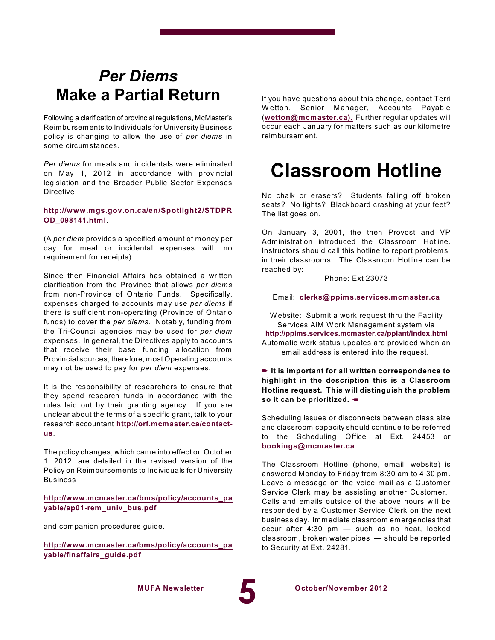## *Per Diems* **Make a Partial Return**

Following a clarification of provincial regulations, McMaster's Reimbursements to Individuals for University Business policy is changing to allow the use of *per diems* in some circumstances.

*Per diems* for meals and incidentals were eliminated on May 1, 2012 in accordance with provincial legislation and the Broader Public Sector Expenses Directive

#### **[http://www.mgs.gov.on.ca/en/Spotlight2/STDPR](http://www.mgs.gov.on.ca/en/Spotlight2/STDPROD_098141.html) [OD\\_098141.html](http://www.mgs.gov.on.ca/en/Spotlight2/STDPROD_098141.html)**.

(A *per diem* provides a specified amount of money per day for meal or incidental expenses with no requirement for receipts).

Since then Financial Affairs has obtained a written clarification from the Province that allows *per diems* from non-Province of Ontario Funds. Specifically, expenses charged to accounts may use *per diems* if there is sufficient non-operating (Province of Ontario funds) to cover the *per diems*. Notably, funding from the Tri-Council agencies may be used for *per diem* expenses. In general, the Directives apply to accounts that receive their base funding allocation from Provincial sources; therefore, most Operating accounts may not be used to pay for *per diem* expenses.

It is the responsibility of researchers to ensure that they spend research funds in accordance with the rules laid out by their granting agency. If you are unclear about the terms of a specific grant, talk to your research accountant **[http://orf.mcmaster.ca/contact](http://orf.mcmaster.ca/contact-us)[us](http://orf.mcmaster.ca/contact-us)**.

The policy changes, which came into effect on October 1, 2012, are detailed in the revised version of the Policy on Reimbursements to Individuals for University Business

**[http://www.mcmaster.ca/bms/policy/accounts\\_pa](http://www.mcmaster.ca/bms/policy/accounts_payable/ap01-rem_univ_bus.pdf) [yable/ap01-rem\\_univ\\_bus.pdf](http://www.mcmaster.ca/bms/policy/accounts_payable/ap01-rem_univ_bus.pdf)**

and companion procedures guide.

**[http://www.mcmaster.ca/bms/policy/accounts\\_pa](http://www.mcmaster.ca/bms/policy/accounts_payable/finaffairs_guide.pdf) [yable/finaffairs\\_guide.pdf](http://www.mcmaster.ca/bms/policy/accounts_payable/finaffairs_guide.pdf)**

If you have questions about this change, contact Terri W etton, Senior Manager, Accounts Payable (**[wetton@mcmaster.ca\).](mailto:wetton@mcmaster.ca)** Further regular updates will occur each January for matters such as our kilometre reimbursement.

## **Classroom Hotline**

No chalk or erasers? Students falling off broken seats? No lights? Blackboard crashing at your feet? The list goes on.

On January 3, 2001, the then Provost and VP Administration introduced the Classroom Hotline. Instructors should call this hotline to report problems in their classrooms. The Classroom Hotline can be reached by:

Phone: Ext 23073

Email: **[clerks@ppims.services.mcmaster.ca](mailto:clerks@ppims.services.mcmaster.ca)**

W ebsite: Submit a work request thru the Facility Services AiM Work Management system via **<http://ppims.services.mcmaster.ca/pplant/index.html>** Automatic work status updates are provided when an email address is entered into the request.

+ **It is important for all written correspondence to highlight in the description this is a Classroom Hotline request. This will distinguish the problem so** it can be prioritized. ←

Scheduling issues or disconnects between class size and classroom capacity should continue to be referred to the Scheduling Office at Ext. 24453 or **[bookings@mcmaster.ca](mailto:bookings@mcmaster.ca)**.

The Classroom Hotline (phone, email, website) is answered Monday to Friday from 8:30 am to 4:30 pm. Leave a message on the voice mail as a Customer Service Clerk may be assisting another Customer. Calls and emails outside of the above hours will be responded by a Customer Service Clerk on the next business day. Immediate classroom emergencies that occur after 4:30 pm — such as no heat, locked classroom, broken water pipes — should be reported to Security at Ext. 24281.



**MUFA Newsletter October/November 2012**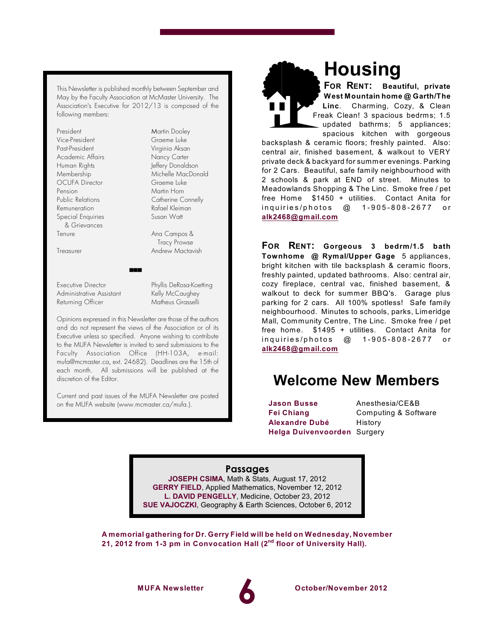This Newsletter is published monthly between September and May by the Faculty Association at McMaster University. The Association's Executive for 2012/13 is composed of the following members:

| President                |
|--------------------------|
| Vice-President           |
| Past-President           |
| Academic Affairs         |
| Human Rights             |
| Membership               |
| <b>OCUFA</b> Director    |
| Pension                  |
| Public Relations         |
| Remuneration             |
| <b>Special Enquiries</b> |
| & Grievances             |
| Tenure                   |

Martin Dooley Graeme Luke Virginia Aksan Nancy Carter Jeffery Donaldson Michelle MacDonald Graeme Luke Martin Horn Catherine Connelly Rafael Kleiman Susan Watt

Ana Campos & Tracy Prowse Treasurer Andrew Mactavish

Executive Director Phyllis DeRosa-Koetting Administrative Assistant Kelly McCaughey<br>Returning Officer Matheus Grasselli Returning Officer

Opinions expressed in this Newsletter are those of the authors and do not represent the views of the Association or of its Executive unless so specified. Anyone wishing to contribute to the MUFA *Newsletter* is invited to send submissions to the Faculty Association Office (HH-103A, e-mail: mufa@mcmaster.ca, ext. 24682). Deadlines are the 15th of each month. All submissions will be published at the discretion of the Editor.

 $\blacksquare$ 

Current and past issues of the MUFA *Newsletter* are posted on the MUFA website (www.mcmaster.ca/mufa.).

## **Housing**

**FOR RENT: Beautiful, private West Mountain home @ Garth/The Linc**. Charming, Cozy, & Clean Freak Clean! 3 spacious bedrms; 1.5 updated bathrms; 5 appliances; spacious kitchen with gorgeous

backsplash & ceramic floors; freshly painted. Also: central air, finished basement, & walkout to VERY private deck & backyard for summer evenings. Parking for 2 Cars. Beautiful, safe family neighbourhood with 2 schools & park at END of street. Minutes to Meadowlands Shopping & The Linc. Smoke free / pet free Home \$1450 + utilities. Contact Anita for in quiries/photos @ 1-905-808-2677 or **[alk2468@gmail.com](mailto:alk2468@gmail.com)**

**FOR RENT: Gorgeous 3 bedrm/1.5 bath Townhome @ Rymal/Upper Gage** 5 appliances, bright kitchen with tile backsplash & ceramic floors, freshly painted, updated bathrooms. Also: central air, cozy fireplace, central vac, finished basement, & walkout to deck for summer BBQ's. Garage plus parking for 2 cars. All 100% spotless! Safe family neighbourhood. Minutes to schools, parks, Limeridge Mall, Community Centre, The Linc. Smoke free / pet free home. \$1495 + utilities. Contact Anita for in quiries/photos @ 1-905-808-2677 or **[alk2468@gmail.com](mailto:alk2468@gmail.com)**

### **Welcome New Members**

**Jason Busse** Anesthesia/CE&B **Fei Chiang** Computing & Software **Alexandre Dubé** History **Helga Duivenvoorden** Surgery

**Passages**

**JOSEPH CSIMA**, Math & Stats, August 17, 2012 **GERRY FIELD**, Applied Mathematics, November 12, 2012 **L. DAVID PENGELLY**, Medicine, October 23, 2012 **SUE VAJOCZKI**, Geography & Earth Sciences, October 6, 2012

**A memorial gathering for Dr. Gerry Field will be held on Wednesday, November 21, 2012 from 1-3 pm in Convocation Hall (2 floor of University Hall). nd**